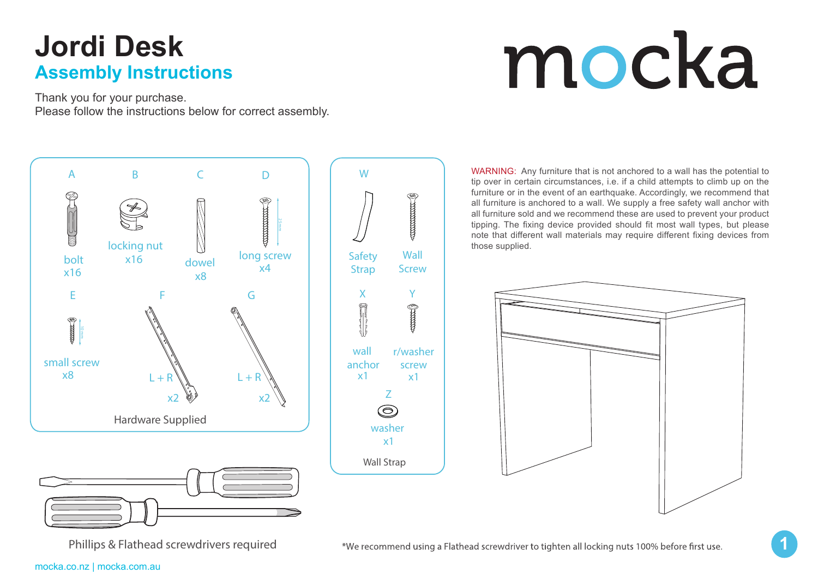# mocka

Thank you for your purchase. Please follow the instructions below for correct assembly.



WARNING: Any furniture that is not anchored to a wall has the potential to tip over in certain circumstances, i.e. if a child attempts to climb up on the furniture or in the event of an earthquake. Accordingly, we recommend that all furniture is anchored to a wall. We supply a free safety wall anchor with all furniture sold and we recommend these are used to prevent your product tipping. The fixing device provided should fit most wall types, but please note that different wall materials may require different fixing devices from those supplied.



**1**

Phillips & Flathead screwdrivers required

\*We recommend using a Flathead screwdriver to tighten all locking nuts 100% before first use.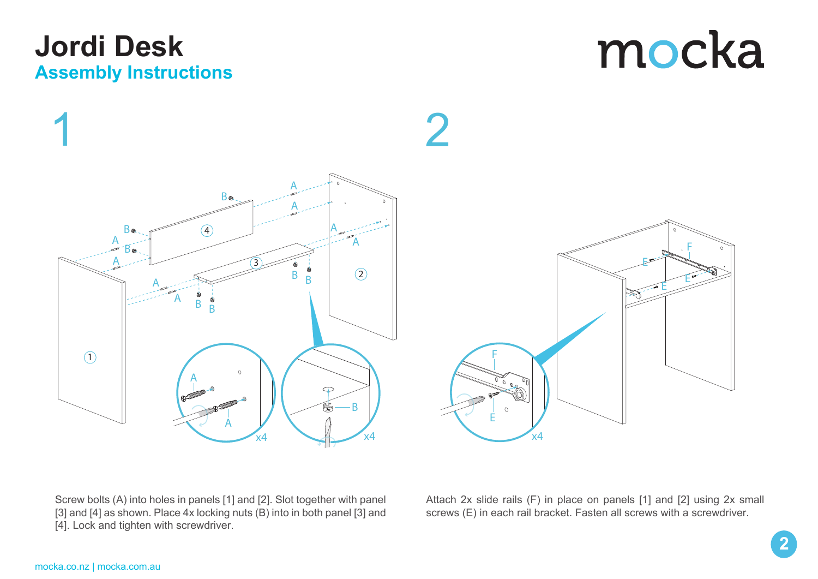

mocka



Screw bolts (A) into holes in panels [1] and [2]. Slot together with panel [3] and [4] as shown. Place 4x locking nuts (B) into in both panel [3] and [4]. Lock and tighten with screwdriver.

Attach 2x slide rails (F) in place on panels [1] and [2] using 2x small screws (E) in each rail bracket. Fasten all screws with a screwdriver.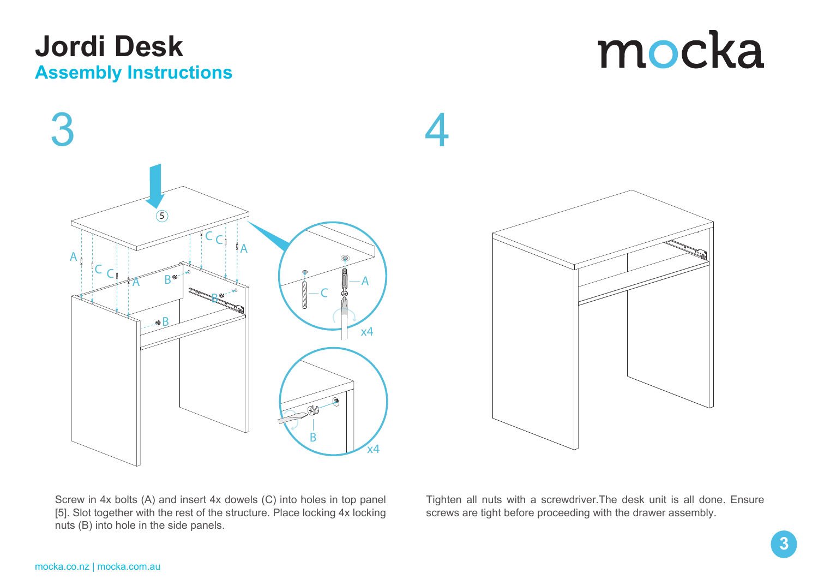



Screw in 4x bolts (A) and insert 4x dowels (C) into holes in top panel [5]. Slot together with the rest of the structure. Place locking 4x locking nuts (B) into hole in the side panels.

Tighten all nuts with a screwdriver.The desk unit is all done. Ensure screws are tight before proceeding with the drawer assembly.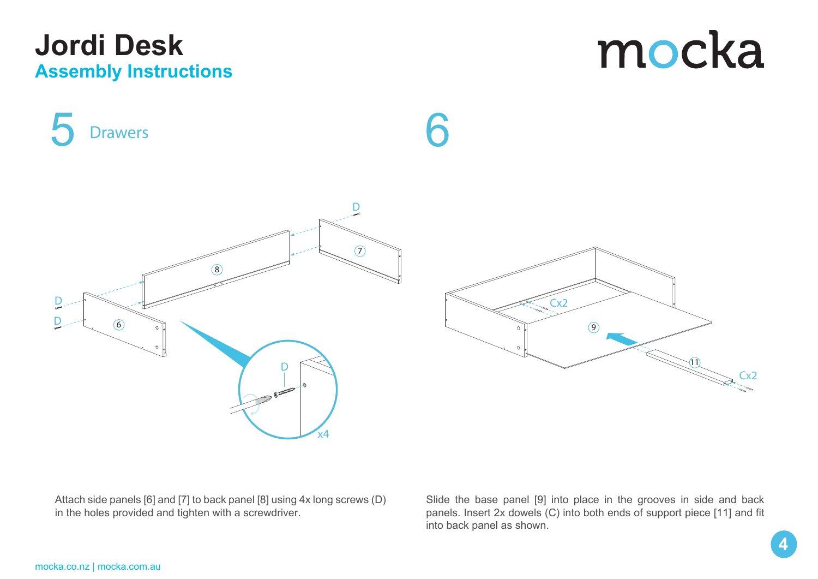**Drawers**

mocka



5 Drawers 6

9  $Cx^2$ Cx2 11

Attach side panels [6] and [7] to back panel [8] using 4x long screws (D) in the holes provided and tighten with a screwdriver.

Slide the base panel [9] into place in the grooves in side and back panels. Insert 2x dowels (C) into both ends of support piece [11] and fit into back panel as shown.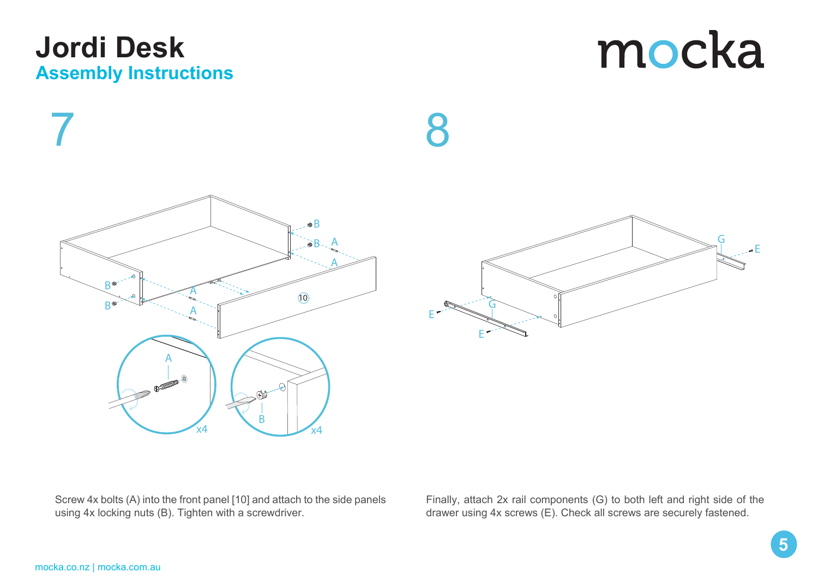#### **Jolt Wardrobe Assembly Instructions ASSEMBLY INSTRUCTIONS Jordi Desk**

mocka





8

Screw 4x bolts (A) into the front panel [10] and attach to the side panels using 4x locking nuts (B). Tighten with a screwdriver.

Finally, attach 2x rail components (G) to both left and right side of the drawer using 4x screws (E). Check all screws are securely fastened.

**5**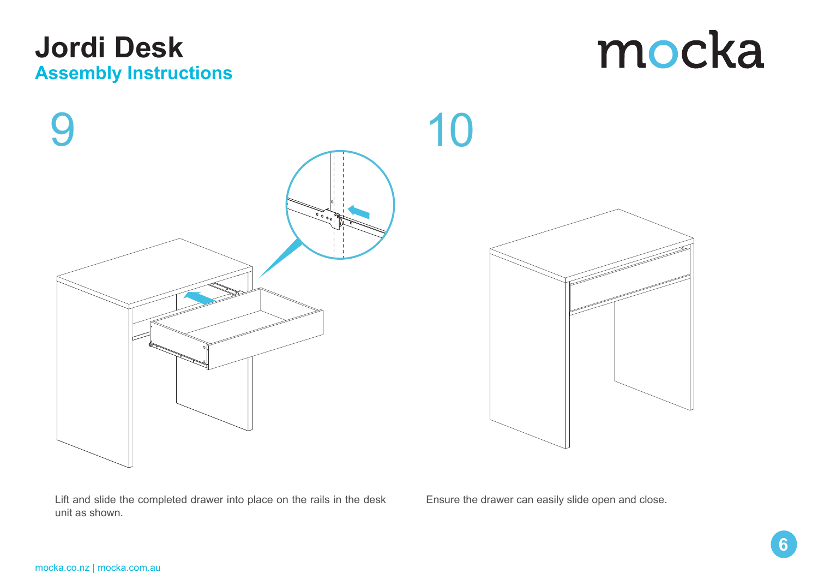





Lift and slide the completed drawer into place on the rails in the desk unit as shown.

Ensure the drawer can easily slide open and close.